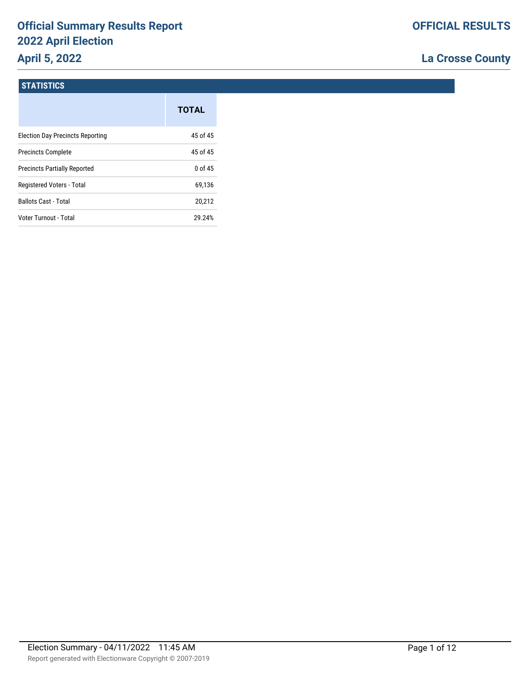# **Official Summary Results Report 2022 April Election April 5, 2022**

## **La Crosse County**

#### **STATISTICS**

|                                         | <b>TOTAL</b> |
|-----------------------------------------|--------------|
| <b>Election Day Precincts Reporting</b> | 45 of 45     |
| <b>Precincts Complete</b>               | 45 of 45     |
| <b>Precincts Partially Reported</b>     | 0 of 45      |
| Registered Voters - Total               | 69,136       |
| <b>Ballots Cast - Total</b>             | 20,212       |
| Voter Turnout - Total                   | 29.24%       |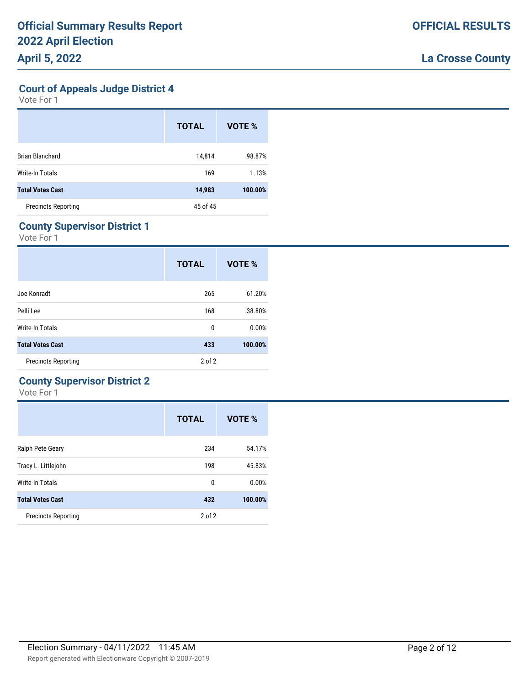**Court of Appeals Judge District 4**

Vote For 1

|                            | <b>TOTAL</b> | VOTE %  |
|----------------------------|--------------|---------|
| <b>Brian Blanchard</b>     | 14,814       | 98.87%  |
| Write-In Totals            | 169          | 1.13%   |
| <b>Total Votes Cast</b>    | 14,983       | 100.00% |
| <b>Precincts Reporting</b> | 45 of 45     |         |

## **County Supervisor District 1**

Vote For 1

|                            | <b>TOTAL</b> | VOTE %  |
|----------------------------|--------------|---------|
| Joe Konradt                | 265          | 61.20%  |
| Pelli Lee                  | 168          | 38.80%  |
| <b>Write-In Totals</b>     | 0            | 0.00%   |
| <b>Total Votes Cast</b>    | 433          | 100.00% |
| <b>Precincts Reporting</b> | $2$ of $2$   |         |

#### **County Supervisor District 2**

|                            | <b>TOTAL</b> | VOTE %  |
|----------------------------|--------------|---------|
| Ralph Pete Geary           | 234          | 54.17%  |
| Tracy L. Littlejohn        | 198          | 45.83%  |
| Write-In Totals            | 0            | 0.00%   |
| <b>Total Votes Cast</b>    | 432          | 100.00% |
| <b>Precincts Reporting</b> | $2$ of $2$   |         |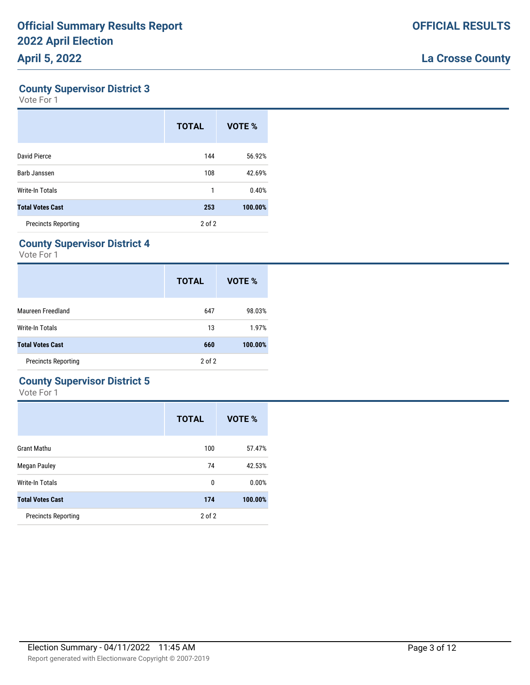## **County Supervisor District 3**

Vote For 1

|                            | <b>TOTAL</b> | VOTE %  |
|----------------------------|--------------|---------|
| David Pierce               | 144          | 56.92%  |
| Barb Janssen               | 108          | 42.69%  |
| <b>Write-In Totals</b>     | 1            | 0.40%   |
| <b>Total Votes Cast</b>    | 253          | 100.00% |
| <b>Precincts Reporting</b> | $2$ of $2$   |         |

## **County Supervisor District 4**

Vote For 1

|                            | <b>TOTAL</b> | VOTE %  |
|----------------------------|--------------|---------|
| Maureen Freedland          | 647          | 98.03%  |
| <b>Write-In Totals</b>     | 13           | 1.97%   |
| <b>Total Votes Cast</b>    | 660          | 100.00% |
| <b>Precincts Reporting</b> | $2$ of $2$   |         |

## **County Supervisor District 5**

|                            | <b>TOTAL</b> | VOTE %  |
|----------------------------|--------------|---------|
| Grant Mathu                | 100          | 57.47%  |
| <b>Megan Pauley</b>        | 74           | 42.53%  |
| Write-In Totals            | 0            | 0.00%   |
| <b>Total Votes Cast</b>    | 174          | 100.00% |
| <b>Precincts Reporting</b> | $2$ of $2$   |         |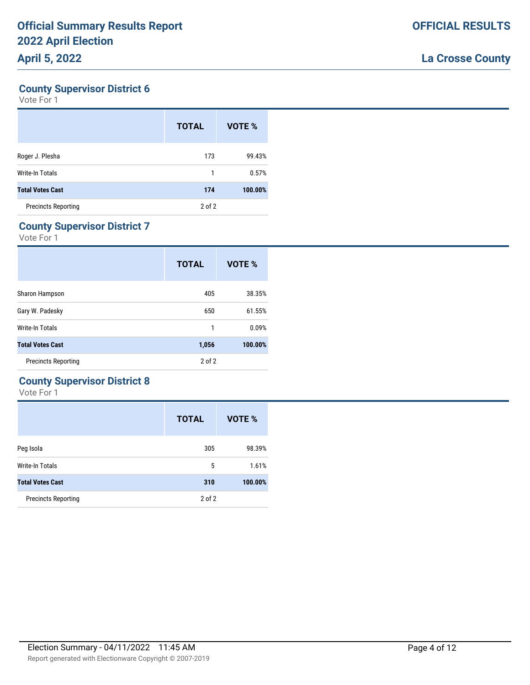**County Supervisor District 6**

Vote For 1

|                            | <b>TOTAL</b> | VOTE %  |
|----------------------------|--------------|---------|
| Roger J. Plesha            | 173          | 99.43%  |
| Write-In Totals            | 1            | 0.57%   |
| <b>Total Votes Cast</b>    | 174          | 100.00% |
| <b>Precincts Reporting</b> | $2$ of $2$   |         |

# **County Supervisor District 7**

Vote For 1

|                            | <b>TOTAL</b> | VOTE %  |
|----------------------------|--------------|---------|
| Sharon Hampson             | 405          | 38.35%  |
| Gary W. Padesky            | 650          | 61.55%  |
| Write-In Totals            | 1            | 0.09%   |
| <b>Total Votes Cast</b>    | 1,056        | 100.00% |
| <b>Precincts Reporting</b> | $2$ of $2$   |         |

#### **County Supervisor District 8**

|                            | <b>TOTAL</b> | VOTE %  |
|----------------------------|--------------|---------|
| Peg Isola                  | 305          | 98.39%  |
| Write-In Totals            | 5            | 1.61%   |
| <b>Total Votes Cast</b>    | 310          | 100.00% |
| <b>Precincts Reporting</b> | $2$ of $2$   |         |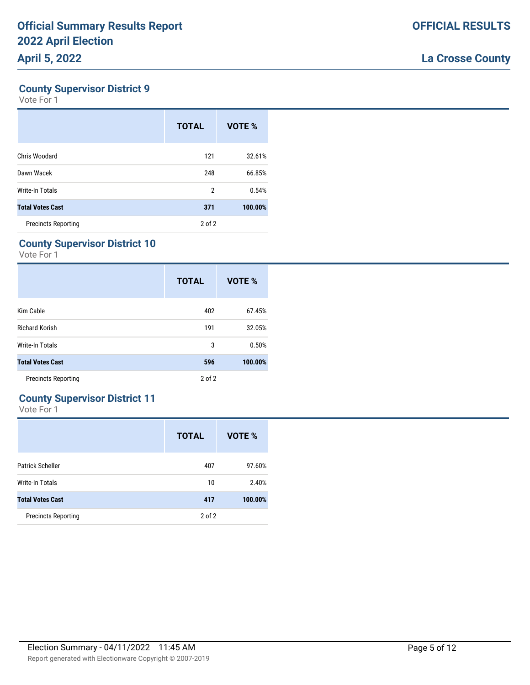#### **County Supervisor District 9**

Vote For 1

|                            | <b>TOTAL</b>   | VOTE %  |
|----------------------------|----------------|---------|
| Chris Woodard              | 121            | 32.61%  |
| Dawn Wacek                 | 248            | 66.85%  |
| <b>Write-In Totals</b>     | $\overline{2}$ | 0.54%   |
| <b>Total Votes Cast</b>    | 371            | 100.00% |
| <b>Precincts Reporting</b> | $2$ of $2$     |         |

## **County Supervisor District 10**

Vote For 1

|                            | <b>TOTAL</b> | VOTE %  |
|----------------------------|--------------|---------|
| Kim Cable                  | 402          | 67.45%  |
| <b>Richard Korish</b>      | 191          | 32.05%  |
| <b>Write-In Totals</b>     | 3            | 0.50%   |
| <b>Total Votes Cast</b>    | 596          | 100.00% |
| <b>Precincts Reporting</b> | 2 of 2       |         |

### **County Supervisor District 11**

|                            | <b>TOTAL</b> | VOTE %  |
|----------------------------|--------------|---------|
| Patrick Scheller           | 407          | 97.60%  |
| Write-In Totals            | 10           | 2.40%   |
| <b>Total Votes Cast</b>    | 417          | 100.00% |
| <b>Precincts Reporting</b> | $2$ of $2$   |         |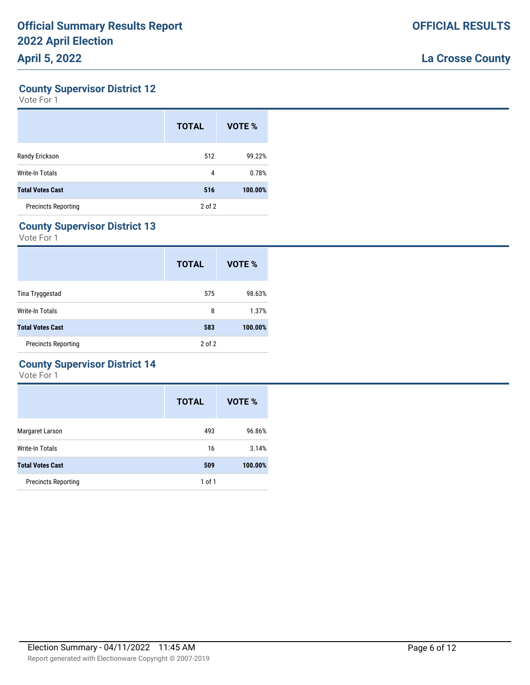**County Supervisor District 12**

Vote For 1

|                            | <b>TOTAL</b> | VOTE %  |
|----------------------------|--------------|---------|
| Randy Erickson             | 512          | 99.22%  |
| Write-In Totals            | 4            | 0.78%   |
| <b>Total Votes Cast</b>    | 516          | 100.00% |
| <b>Precincts Reporting</b> | 2 of 2       |         |

## **County Supervisor District 13**

Vote For 1

|                            | <b>TOTAL</b> | VOTE %  |
|----------------------------|--------------|---------|
| Tina Tryggestad            | 575          | 98.63%  |
| Write-In Totals            | 8            | 1.37%   |
| <b>Total Votes Cast</b>    | 583          | 100.00% |
| <b>Precincts Reporting</b> | $2$ of $2$   |         |

# **County Supervisor District 14**

|                            | <b>TOTAL</b> | VOTE %  |
|----------------------------|--------------|---------|
| Margaret Larson            | 493          | 96.86%  |
| Write-In Totals            | 16           | 3.14%   |
| <b>Total Votes Cast</b>    | 509          | 100.00% |
| <b>Precincts Reporting</b> | 1 of 1       |         |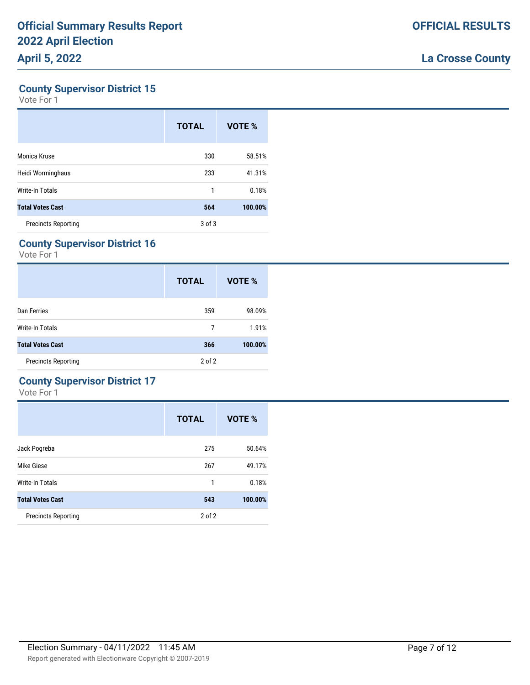**County Supervisor District 15**

Vote For 1

|                            | <b>TOTAL</b> | VOTE %  |
|----------------------------|--------------|---------|
| Monica Kruse               | 330          | 58.51%  |
| Heidi Worminghaus          | 233          | 41.31%  |
| <b>Write-In Totals</b>     | 1            | 0.18%   |
| <b>Total Votes Cast</b>    | 564          | 100.00% |
| <b>Precincts Reporting</b> | 3 of 3       |         |

## **County Supervisor District 16**

Vote For 1

|                            | <b>TOTAL</b> | VOTE %  |
|----------------------------|--------------|---------|
| Dan Ferries                | 359          | 98.09%  |
| Write-In Totals            | 7            | 1.91%   |
| <b>Total Votes Cast</b>    | 366          | 100.00% |
| <b>Precincts Reporting</b> | 2 of 2       |         |

## **County Supervisor District 17**

|                            | <b>TOTAL</b> | VOTE %  |
|----------------------------|--------------|---------|
| Jack Pogreba               | 275          | 50.64%  |
| Mike Giese                 | 267          | 49.17%  |
| Write-In Totals            | 1            | 0.18%   |
| <b>Total Votes Cast</b>    | 543          | 100.00% |
| <b>Precincts Reporting</b> | $2$ of $2$   |         |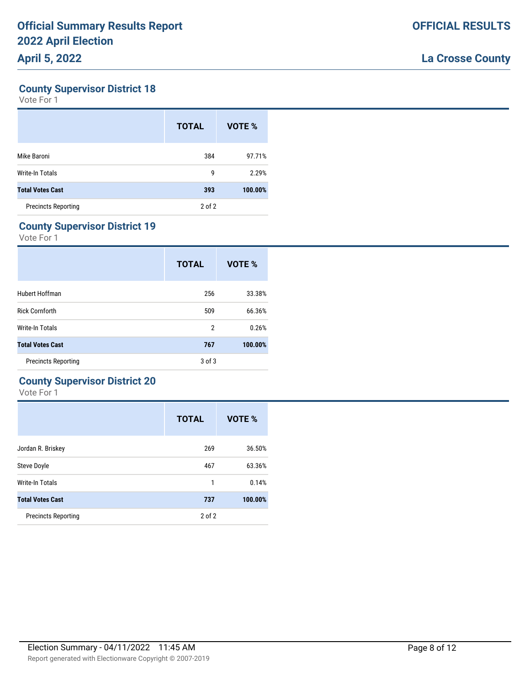**County Supervisor District 18**

Vote For 1

|                            | <b>TOTAL</b> | VOTE %  |
|----------------------------|--------------|---------|
| Mike Baroni                | 384          | 97.71%  |
| <b>Write-In Totals</b>     | 9            | 2.29%   |
| <b>Total Votes Cast</b>    | 393          | 100.00% |
| <b>Precincts Reporting</b> | 2 of 2       |         |

## **County Supervisor District 19**

Vote For 1

|                            | <b>TOTAL</b>   | VOTE %  |
|----------------------------|----------------|---------|
| Hubert Hoffman             | 256            | 33.38%  |
| <b>Rick Cornforth</b>      | 509            | 66.36%  |
| <b>Write-In Totals</b>     | $\overline{2}$ | 0.26%   |
| <b>Total Votes Cast</b>    | 767            | 100.00% |
| <b>Precincts Reporting</b> | $3$ of $3$     |         |

#### **County Supervisor District 20**

|                            | <b>TOTAL</b> | VOTE %  |
|----------------------------|--------------|---------|
| Jordan R. Briskey          | 269          | 36.50%  |
| <b>Steve Doyle</b>         | 467          | 63.36%  |
| Write-In Totals            | 1            | 0.14%   |
| <b>Total Votes Cast</b>    | 737          | 100.00% |
| <b>Precincts Reporting</b> | $2$ of $2$   |         |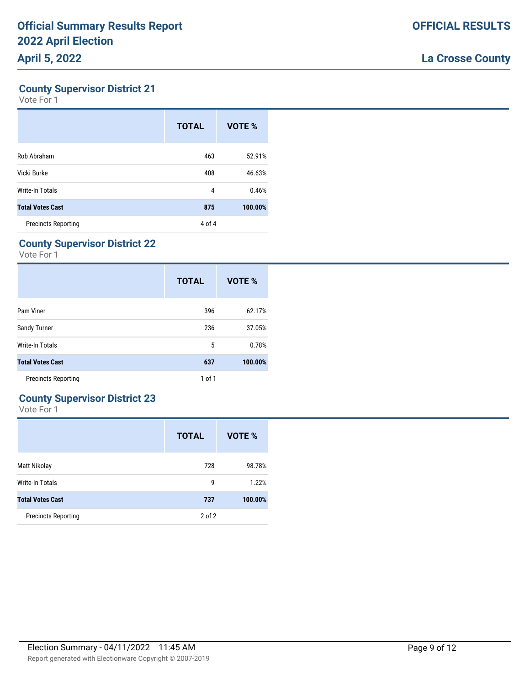**County Supervisor District 21**

Vote For 1

|                            | <b>TOTAL</b> | VOTE %  |
|----------------------------|--------------|---------|
| Rob Abraham                | 463          | 52.91%  |
| Vicki Burke                | 408          | 46.63%  |
| Write-In Totals            | 4            | 0.46%   |
| <b>Total Votes Cast</b>    | 875          | 100.00% |
| <b>Precincts Reporting</b> | 4 of 4       |         |

## **County Supervisor District 22**

Vote For 1

|                            | <b>TOTAL</b> | VOTE %  |
|----------------------------|--------------|---------|
| Pam Viner                  | 396          | 62.17%  |
| Sandy Turner               | 236          | 37.05%  |
| Write-In Totals            | 5            | 0.78%   |
| <b>Total Votes Cast</b>    | 637          | 100.00% |
| <b>Precincts Reporting</b> | $1$ of $1$   |         |

#### **County Supervisor District 23**

|                            | <b>TOTAL</b> | VOTE %  |
|----------------------------|--------------|---------|
| Matt Nikolay               | 728          | 98.78%  |
| Write-In Totals            | 9            | 1.22%   |
| <b>Total Votes Cast</b>    | 737          | 100.00% |
| <b>Precincts Reporting</b> | $2$ of $2$   |         |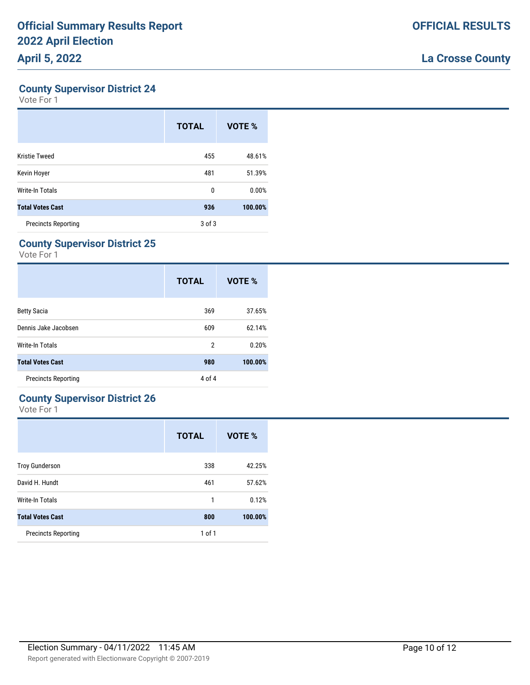**County Supervisor District 24**

Vote For 1

|                            | <b>TOTAL</b> | VOTE %  |
|----------------------------|--------------|---------|
| <b>Kristie Tweed</b>       | 455          | 48.61%  |
| Kevin Hoyer                | 481          | 51.39%  |
| Write-In Totals            | 0            | 0.00%   |
| <b>Total Votes Cast</b>    | 936          | 100.00% |
| <b>Precincts Reporting</b> | 3 of 3       |         |

## **County Supervisor District 25**

Vote For 1

|                            | <b>TOTAL</b> | VOTE %  |
|----------------------------|--------------|---------|
| <b>Betty Sacia</b>         | 369          | 37.65%  |
| Dennis Jake Jacobsen       | 609          | 62.14%  |
| <b>Write-In Totals</b>     | 2            | 0.20%   |
| <b>Total Votes Cast</b>    | 980          | 100.00% |
| <b>Precincts Reporting</b> | 4 of 4       |         |

#### **County Supervisor District 26**

|                            | <b>TOTAL</b> | VOTE %  |
|----------------------------|--------------|---------|
| <b>Troy Gunderson</b>      | 338          | 42.25%  |
| David H. Hundt             | 461          | 57.62%  |
| <b>Write-In Totals</b>     | 1            | 0.12%   |
| <b>Total Votes Cast</b>    | 800          | 100.00% |
| <b>Precincts Reporting</b> | $1$ of $1$   |         |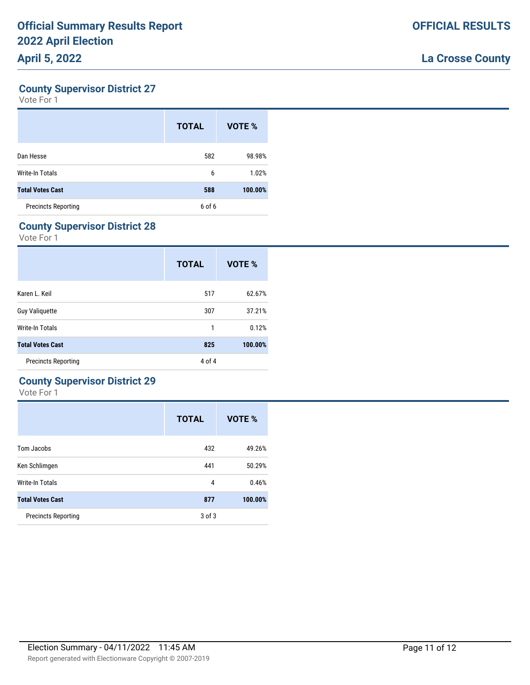**County Supervisor District 27**

Vote For 1

|                            | <b>TOTAL</b> | VOTE %  |
|----------------------------|--------------|---------|
| Dan Hesse                  | 582          | 98.98%  |
| Write-In Totals            | 6            | 1.02%   |
| <b>Total Votes Cast</b>    | 588          | 100.00% |
| <b>Precincts Reporting</b> | 6 of 6       |         |

## **County Supervisor District 28**

Vote For 1

|                            | <b>TOTAL</b> | VOTE %  |
|----------------------------|--------------|---------|
| Karen L. Keil              | 517          | 62.67%  |
| <b>Guy Valiquette</b>      | 307          | 37.21%  |
| <b>Write-In Totals</b>     | 1            | 0.12%   |
| <b>Total Votes Cast</b>    | 825          | 100.00% |
| <b>Precincts Reporting</b> | 4 of 4       |         |

#### **County Supervisor District 29**

|                            | <b>TOTAL</b> | VOTE %  |
|----------------------------|--------------|---------|
| Tom Jacobs                 | 432          | 49.26%  |
| Ken Schlimgen              | 441          | 50.29%  |
| <b>Write-In Totals</b>     | 4            | 0.46%   |
| <b>Total Votes Cast</b>    | 877          | 100.00% |
| <b>Precincts Reporting</b> | $3$ of $3$   |         |